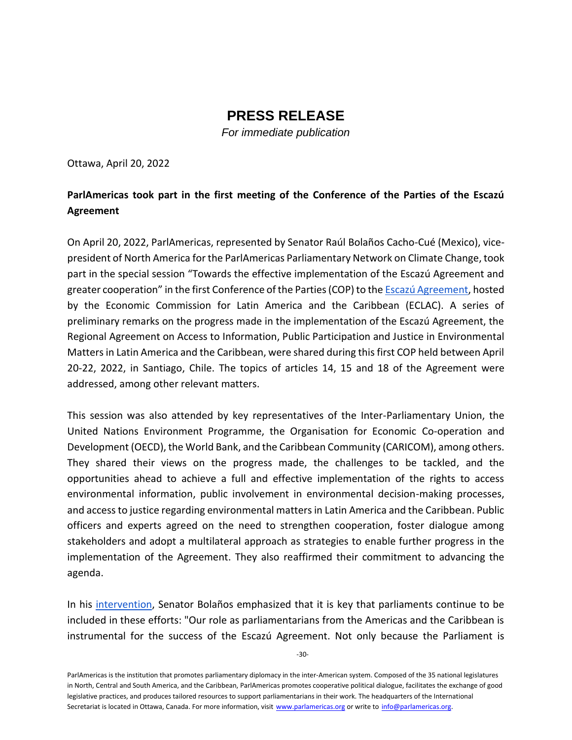## **PRESS RELEASE**

*For immediate publication*

Ottawa, April 20, 2022

## **ParlAmericas took part in the first meeting of the Conference of the Parties of the Escazú Agreement**

On April 20, 2022, ParlAmericas, represented by Senator Raúl Bolaños Cacho-Cué (Mexico), vicepresident of North America for the ParlAmericas Parliamentary Network on Climate Change, took part in the special session "Towards the effective implementation of the Escazú Agreement and greater cooperation" in the first Conference of the Parties (COP) to th[e Escazú Agreement,](https://www.cepal.org/en/escazuagreement) hosted by the Economic Commission for Latin America and the Caribbean (ECLAC). A series of preliminary remarks on the progress made in the implementation of the Escazú Agreement, the Regional Agreement on Access to Information, Public Participation and Justice in Environmental Matters in Latin America and the Caribbean, were shared during this first COP held between April 20-22, 2022, in Santiago, Chile. The topics of articles 14, 15 and 18 of the Agreement were addressed, among other relevant matters.

This session was also attended by key representatives of the Inter-Parliamentary Union, the United Nations Environment Programme, the Organisation for Economic Co-operation and Development (OECD), the World Bank, and the Caribbean Community (CARICOM), among others. They shared their views on the progress made, the challenges to be tackled, and the opportunities ahead to achieve a full and effective implementation of the rights to access environmental information, public involvement in environmental decision-making processes, and access to justice regarding environmental matters in Latin America and the Caribbean. Public officers and experts agreed on the need to strengthen cooperation, foster dialogue among stakeholders and adopt a multilateral approach as strategies to enable further progress in the implementation of the Agreement. They also reaffirmed their commitment to advancing the agenda.

In his [intervention,](https://youtu.be/DXJFYMagxH4?t=27590) Senator Bolaños emphasized that it is key that parliaments continue to be included in these efforts: "Our role as parliamentarians from the Americas and the Caribbean is instrumental for the success of the Escazú Agreement. Not only because the Parliament is

ParlAmericas is the institution that promotes parliamentary diplomacy in the inter-American system. Composed of the 35 national legislatures in North, Central and South America, and the Caribbean, ParlAmericas promotes cooperative political dialogue, facilitates the exchange of good legislative practices, and produces tailored resources to support parliamentarians in their work. The headquarters of the International Secretariat is located in Ottawa, Canada. For more information, visit www.parlamericas.org or write to info@parlamericas.org.